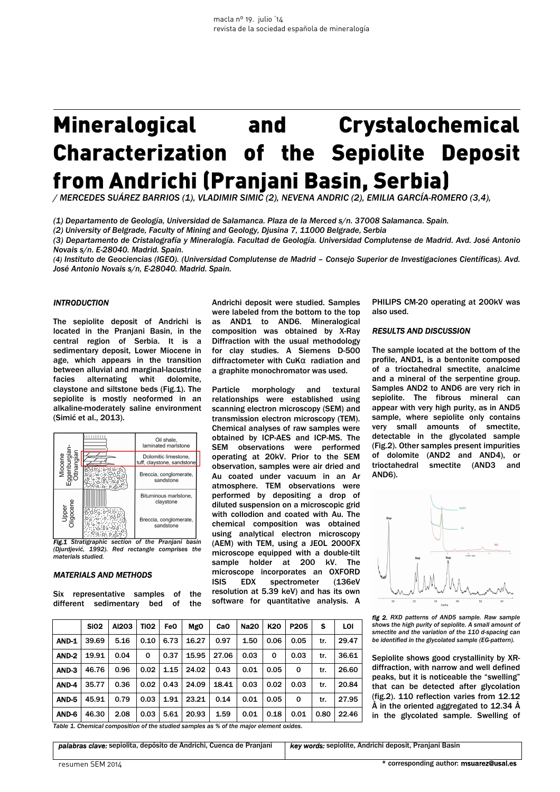# Mineralogical and Crystalochemical Characterization of the Sepiolite Deposit from Andrichi (Pranjani Basin, Serbia)

*/ MERCEDES SUÁREZ BARRIOS (1), VLADIMIR SIMIC (2), NEVENA ANDRIC (2), EMILIA GARCÍA-ROMERO (3,4),* 

*(1) Departamento de Geología, Universidad de Salamanca. Plaza de la Merced s/n. 37008 Salamanca. Spain.*

*(2) University of Belgrade, Faculty of Mining and Geology, Djusina 7, 11000 Belgrade, Serbia* 

*(3) Departamento de Cristalografía y Mineralogía. Facultad de Geología. Universidad Complutense de Madrid. Avd. José Antonio Novais s/n. E-28040. Madrid. Spain.* 

*(4) Instituto de Geociencias (IGEO). (Universidad Complutense de Madrid – Consejo Superior de Investigaciones Científicas). Avd. José Antonio Novais s/n, E-28040. Madrid. Spain.*

## *INTRODUCTION*

The sepiolite deposit of Andrichi is located in the Pranjani Basin, in the central region of Serbia. It is a sedimentary deposit, Lower Miocene in age, which appears in the transition between alluvial and marginal-lacustrine facies alternating whit dolomite, claystone and siltstone beds (Fig.1). The sepiolite is mostly neoformed in an alkaline-moderately saline environment (Simić et al., 2013).



*(Djurdjević, 1992). Red rectangle comprises the materials studied.* 

#### *MATERIALS AND METHODS*

Six representative samples of the different sedimentary bed of the

Andrichi deposit were studied. Samples were labeled from the bottom to the top as AND1 to AND6. Mineralogical composition was obtained by X-Ray Diffraction with the usual methodology for clay studies. A Siemens D-500 diffractometer with CuKα radiation and a graphite monochromator was used.

Particle morphology and textural relationships were established using scanning electron microscopy (SEM) and transmission electron microscopy (TEM). Chemical analyses of raw samples were obtained by ICP-AES and ICP-MS. The SEM observations were performed operating at 20kV. Prior to the SEM observation, samples were air dried and Au coated under vacuum in an Ar atmosphere. TEM observations were performed by depositing a drop of diluted suspension on a microscopic grid with collodion and coated with Au. The chemical composition was obtained using analytical electron microscopy (AEM) with TEM, using a JEOL 2000FX microscope equipped with a double-tilt sample holder at 200 kV. The microscope incorporates an OXFORD ISIS EDX spectrometer (136eV resolution at 5.39 keV) and has its own software for quantitative analysis. A

PHILIPS CM-20 operating at 200kV was also used.

#### *RESULTS AND DISCUSSION*

The sample located at the bottom of the profile, AND1, is a bentonite composed of a trioctahedral smectite, analcime and a mineral of the serpentine group. Samples AND2 to AND6 are very rich in sepiolite. The fibrous mineral can appear with very high purity, as in AND5 sample, where sepiolite only contains very small amounts of smectite, detectable in the glycolated sample (Fig.2). Other samples present impurities of dolomite (AND2 and AND4), or trioctahedral smectite (AND3 and AND6).



*fig 2. RXD patterns of AND5 sample. Raw sample shows the high purity of sepiolite. A small amount of smectite and the variation of the 110 d-spacing can be identified in the glycolated sample (EG-pattern).*

Sepiolite shows good crystallinity by XRdiffraction, with narrow and well defined peaks, but it is noticeable the "swelling" that can be detected after glycolation (fig.2). 110 reflection varies from 12.12 Å in the oriented aggregated to 12.34 Å in the glycolated sample. Swelling of

*Table 1. Chemical composition of the studied samples as % of the major element oxides.* 

| SiO2 | Al2O3 | TiO2 | FeO | MgO | CaO | Na2O | K2O | P2O5 | S | LOI **AND-1** | 39.69 | 5.16 | 0.10 | 6.73 | 16.27 | 0.97 | 1.50 | 0.06 | 0.05 | tr. | 29.47 AND-2 19.91 0.04 0 0.37 15.95 27.06 0.03 0 0.03 tr. 36.61 AND-3 | 46.76 | 0.96 | 0.02 | 1.15 | 24.02 | 0.43 | 0.01 | 0.05 | 0 | tr. | 26.60 **AND-4** | 35.77 | 0.36 | 0.02 | 0.43 | 24.09 | 18.41 | 0.03 | 0.02 | 0.03 | tr. | 20.84 AND-5 | 45.91 | 0.79 | 0.03 | 1.91 | 23.21 | 0.14 | 0.01 | 0.05 | 0 | tr. | 27.95 AND-6 46.30 2.08 0.03 5.61 20.93 1.59 0.01 0.18 0.01 0.80 22.46

*palabras clave:* sepiolita, depósito de Andrichi, Cuenca de Pranjani *key words:* sepiolite, Andrichi deposit, Pranjani Basin